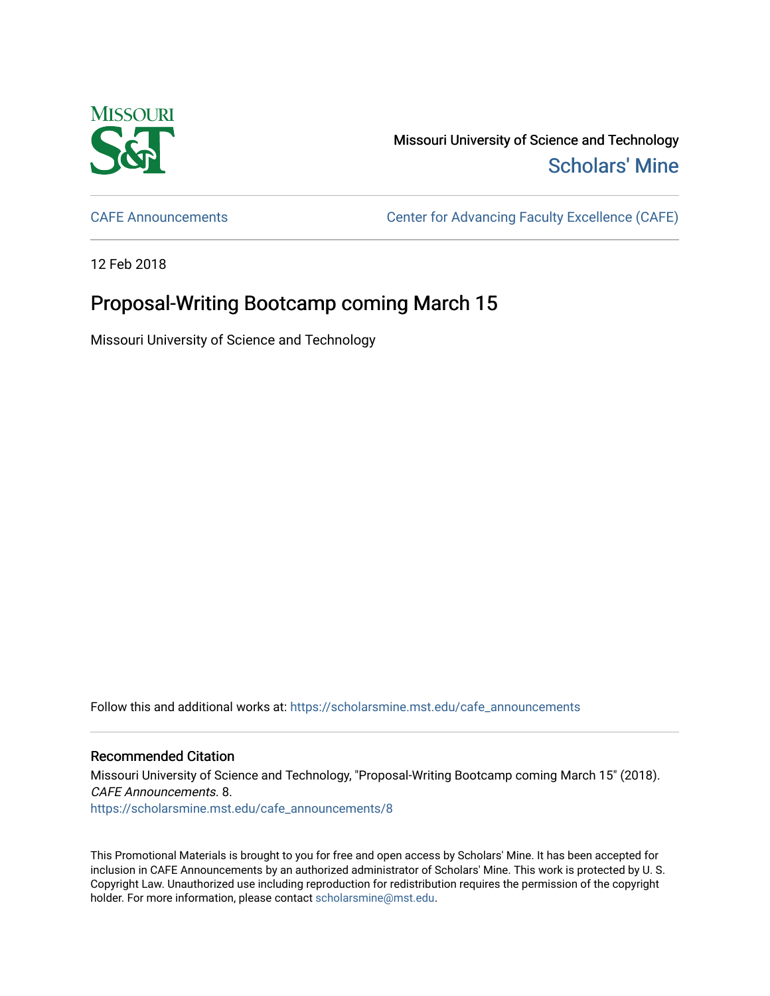

Missouri University of Science and Technology [Scholars' Mine](https://scholarsmine.mst.edu/) 

[CAFE Announcements](https://scholarsmine.mst.edu/cafe_announcements) [Center for Advancing Faculty Excellence \(CAFE\)](https://scholarsmine.mst.edu/cafe) 

12 Feb 2018

## Proposal-Writing Bootcamp coming March 15

Missouri University of Science and Technology

Follow this and additional works at: [https://scholarsmine.mst.edu/cafe\\_announcements](https://scholarsmine.mst.edu/cafe_announcements?utm_source=scholarsmine.mst.edu%2Fcafe_announcements%2F8&utm_medium=PDF&utm_campaign=PDFCoverPages) 

## Recommended Citation

Missouri University of Science and Technology, "Proposal-Writing Bootcamp coming March 15" (2018). CAFE Announcements. 8. [https://scholarsmine.mst.edu/cafe\\_announcements/8](https://scholarsmine.mst.edu/cafe_announcements/8?utm_source=scholarsmine.mst.edu%2Fcafe_announcements%2F8&utm_medium=PDF&utm_campaign=PDFCoverPages) 

This Promotional Materials is brought to you for free and open access by Scholars' Mine. It has been accepted for inclusion in CAFE Announcements by an authorized administrator of Scholars' Mine. This work is protected by U. S. Copyright Law. Unauthorized use including reproduction for redistribution requires the permission of the copyright holder. For more information, please contact [scholarsmine@mst.edu.](mailto:scholarsmine@mst.edu)